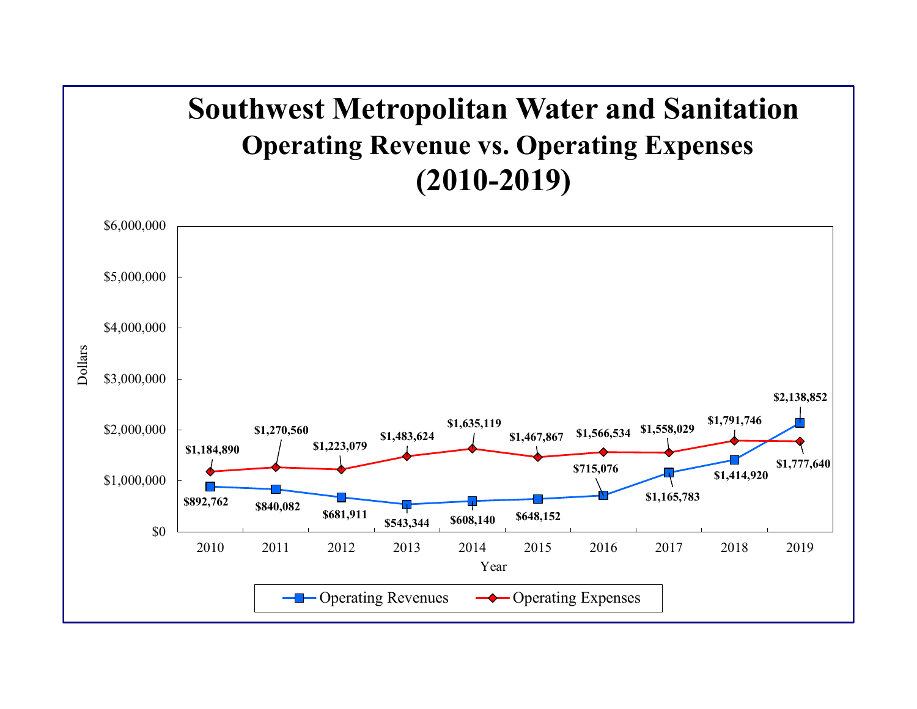## **Southwest Metropolitan Water and Sanitation Operating Revenue vs. Operating Expenses (2010-2019)**

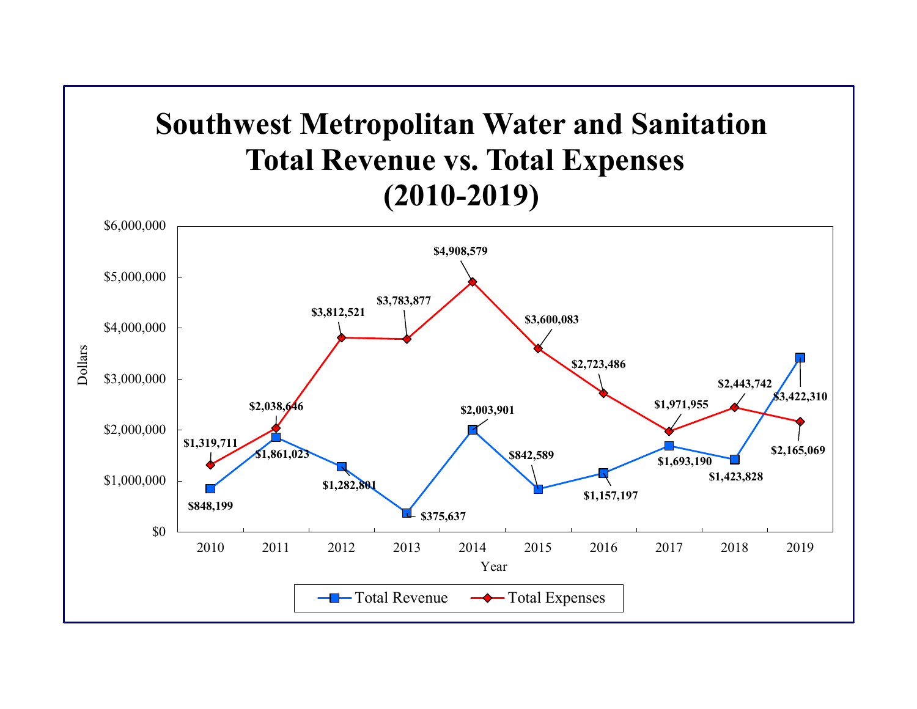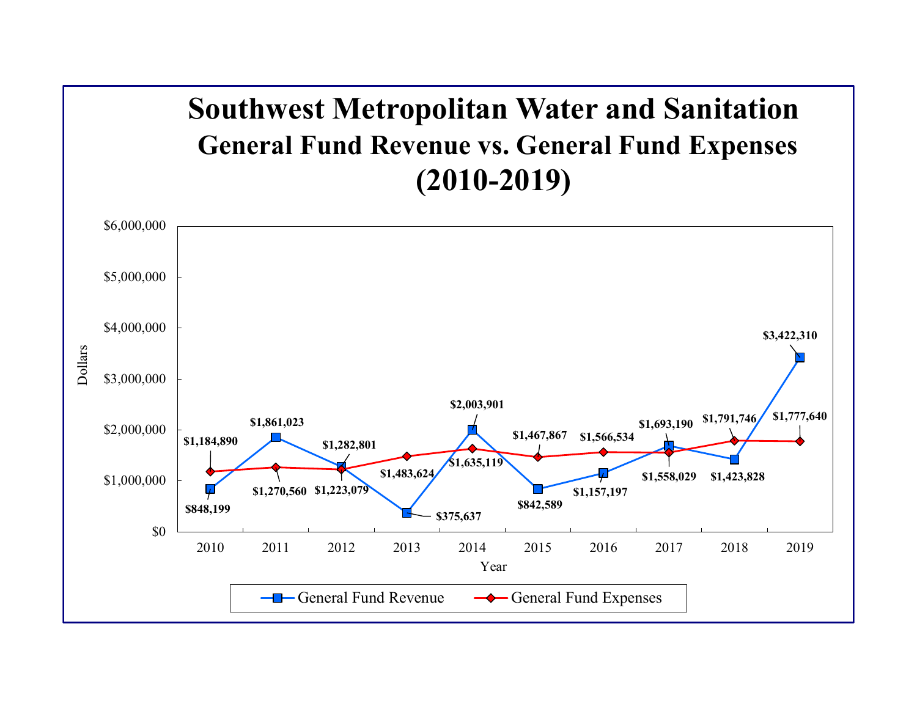## **Southwest Metropolitan Water and Sanitation General Fund Revenue vs. General Fund Expenses (2010-2019)**

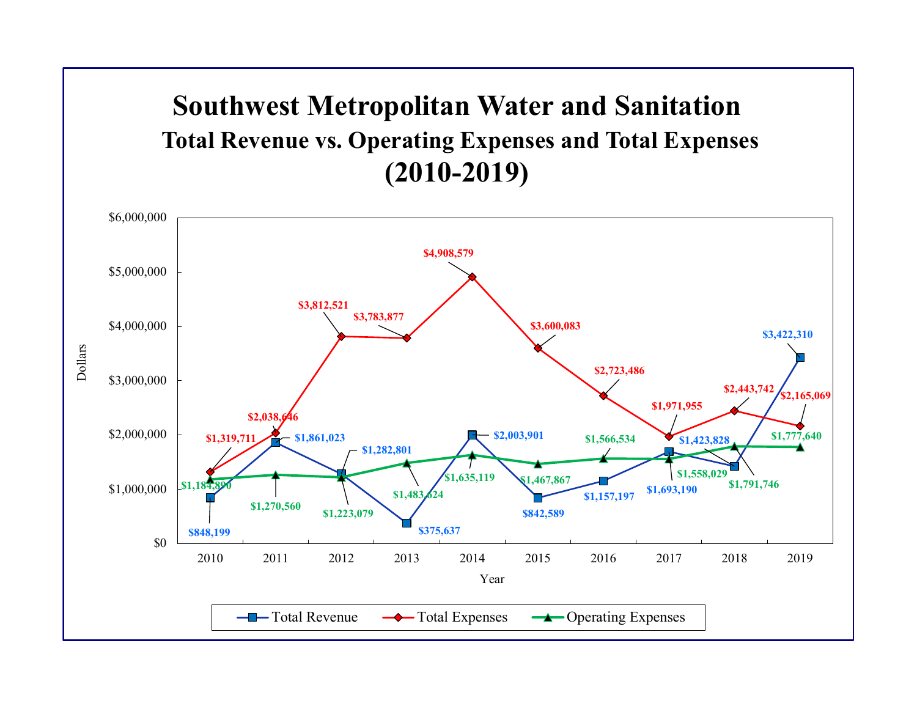## **Southwest Metropolitan Water and Sanitation Total Revenue vs. Operating Expenses and Total Expenses (2010-2019)**